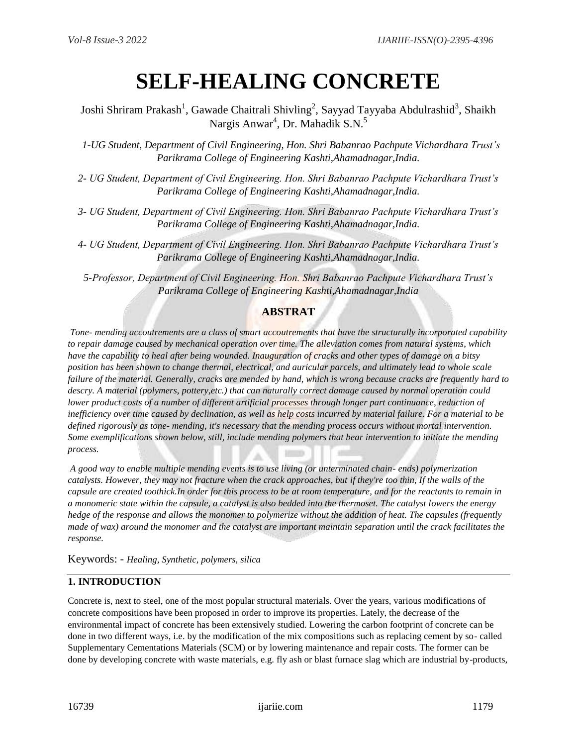# **SELF-HEALING CONCRETE**

Joshi Shriram Prakash<sup>1</sup>, Gawade Chaitrali Shivling<sup>2</sup>, Sayyad Tayyaba Abdulrashid<sup>3</sup>, Shaikh Nargis Anwar<sup>4</sup>, Dr. Mahadik S.N.<sup>5</sup>

- *1-UG Student, Department of Civil Engineering, Hon. Shri Babanrao Pachpute Vichardhara Trust's Parikrama College of Engineering Kashti,Ahamadnagar,India.*
- *2- UG Student, Department of Civil Engineering. Hon. Shri Babanrao Pachpute Vichardhara Trust's Parikrama College of Engineering Kashti,Ahamadnagar,India.*
- *3- UG Student, Department of Civil Engineering. Hon. Shri Babanrao Pachpute Vichardhara Trust's Parikrama College of Engineering Kashti,Ahamadnagar,India.*
- *4- UG Student, Department of Civil Engineering. Hon. Shri Babanrao Pachpute Vichardhara Trust's Parikrama College of Engineering Kashti,Ahamadnagar,India.*

*5-Professor, Department of Civil Engineering. Hon. Shri Babanrao Pachpute Vichardhara Trust's Parikrama College of Engineering Kashti,Ahamadnagar,India*

# **ABSTRAT**

*Tone- mending accoutrements are a class of smart accoutrements that have the structurally incorporated capability to repair damage caused by mechanical operation over time. The alleviation comes from natural systems, which have the capability to heal after being wounded. Inauguration of cracks and other types of damage on a bitsy position has been shown to change thermal, electrical, and auricular parcels, and ultimately lead to whole scale failure of the material. Generally, cracks are mended by hand, which is wrong because cracks are frequently hard to descry. A material (polymers, pottery,etc.) that can naturally correct damage caused by normal operation could lower product costs of a number of different artificial processes through longer part continuance, reduction of inefficiency over time caused by declination, as well as help costs incurred by material failure. For a material to be defined rigorously as tone- mending, it's necessary that the mending process occurs without mortal intervention. Some exemplifications shown below, still, include mending polymers that bear intervention to initiate the mending process.* 

*A good way to enable multiple mending events is to use living (or unterminated chain- ends) polymerization catalysts. However, they may not fracture when the crack approaches, but if they're too thin, If the walls of the capsule are created toothick.In order for this process to be at room temperature, and for the reactants to remain in a monomeric state within the capsule, a catalyst is also bedded into the thermoset. The catalyst lowers the energy hedge of the response and allows the monomer to polymerize without the addition of heat. The capsules (frequently made of wax) around the monomer and the catalyst are important maintain separation until the crack facilitates the response.* 

Keywords: - *Healing, Synthetic, polymers, silica*

# **1. INTRODUCTION**

Concrete is, next to steel, one of the most popular structural materials. Over the years, various modifications of concrete compositions have been proposed in order to improve its properties. Lately, the decrease of the environmental impact of concrete has been extensively studied. Lowering the carbon footprint of concrete can be done in two different ways, i.e. by the modification of the mix compositions such as replacing cement by so- called Supplementary Cementations Materials (SCM) or by lowering maintenance and repair costs. The former can be done by developing concrete with waste materials, e.g. fly ash or blast furnace slag which are industrial by-products,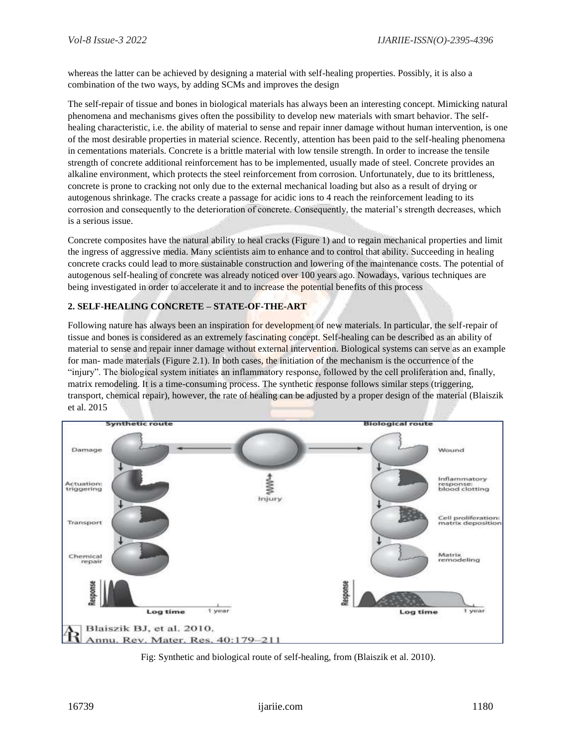whereas the latter can be achieved by designing a material with self-healing properties. Possibly, it is also a combination of the two ways, by adding SCMs and improves the design

The self-repair of tissue and bones in biological materials has always been an interesting concept. Mimicking natural phenomena and mechanisms gives often the possibility to develop new materials with smart behavior. The selfhealing characteristic, i.e. the ability of material to sense and repair inner damage without human intervention, is one of the most desirable properties in material science. Recently, attention has been paid to the self-healing phenomena in cementations materials. Concrete is a brittle material with low tensile strength. In order to increase the tensile strength of concrete additional reinforcement has to be implemented, usually made of steel. Concrete provides an alkaline environment, which protects the steel reinforcement from corrosion. Unfortunately, due to its brittleness, concrete is prone to cracking not only due to the external mechanical loading but also as a result of drying or autogenous shrinkage. The cracks create a passage for acidic ions to 4 reach the reinforcement leading to its corrosion and consequently to the deterioration of concrete. Consequently, the material's strength decreases, which is a serious issue.

Concrete composites have the natural ability to heal cracks (Figure 1) and to regain mechanical properties and limit the ingress of aggressive media. Many scientists aim to enhance and to control that ability. Succeeding in healing concrete cracks could lead to more sustainable construction and lowering of the maintenance costs. The potential of autogenous self-healing of concrete was already noticed over 100 years ago. Nowadays, various techniques are being investigated in order to accelerate it and to increase the potential benefits of this process

# **2. SELF-HEALING CONCRETE – STATE-OF-THE-ART**

Following nature has always been an inspiration for development of new materials. In particular, the self-repair of tissue and bones is considered as an extremely fascinating concept. Self-healing can be described as an ability of material to sense and repair inner damage without external intervention. Biological systems can serve as an example for man- made materials (Figure 2.1). In both cases, the initiation of the mechanism is the occurrence of the "injury". The biological system initiates an inflammatory response, followed by the cell proliferation and, finally, matrix remodeling. It is a time-consuming process. The synthetic response follows similar steps (triggering, transport, chemical repair), however, the rate of healing can be adjusted by a proper design of the material (Blaiszik et al. 2015



Fig: Synthetic and biological route of self-healing, from (Blaiszik et al. 2010).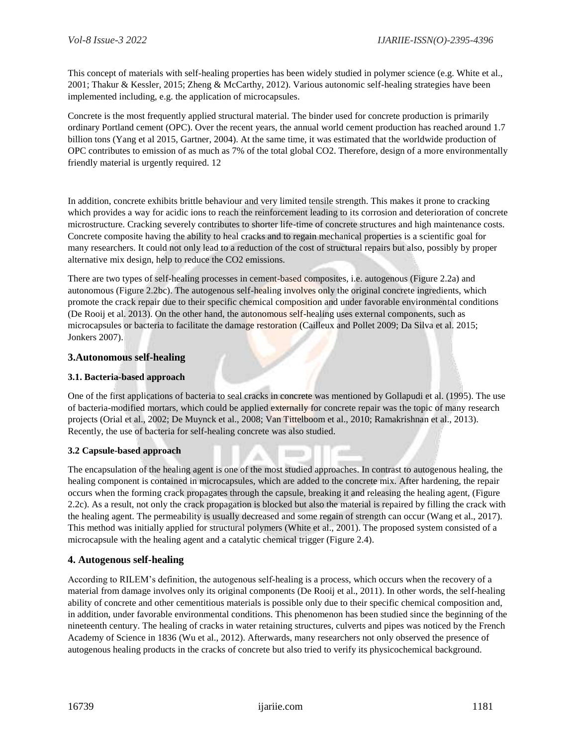This concept of materials with self-healing properties has been widely studied in polymer science (e.g. White et al., 2001; Thakur & Kessler, 2015; Zheng & McCarthy, 2012). Various autonomic self-healing strategies have been implemented including, e.g. the application of microcapsules.

Concrete is the most frequently applied structural material. The binder used for concrete production is primarily ordinary Portland cement (OPC). Over the recent years, the annual world cement production has reached around 1.7 billion tons (Yang et al 2015, Gartner, 2004). At the same time, it was estimated that the worldwide production of OPC contributes to emission of as much as 7% of the total global CO2. Therefore, design of a more environmentally friendly material is urgently required. 12

In addition, concrete exhibits brittle behaviour and very limited tensile strength. This makes it prone to cracking which provides a way for acidic ions to reach the reinforcement leading to its corrosion and deterioration of concrete microstructure. Cracking severely contributes to shorter life-time of concrete structures and high maintenance costs. Concrete composite having the ability to heal cracks and to regain mechanical properties is a scientific goal for many researchers. It could not only lead to a reduction of the cost of structural repairs but also, possibly by proper alternative mix design, help to reduce the CO2 emissions.

There are two types of self-healing processes in cement-based composites, i.e. autogenous (Figure 2.2a) and autonomous (Figure 2.2bc). The autogenous self-healing involves only the original concrete ingredients, which promote the crack repair due to their specific chemical composition and under favorable environmental conditions (De Rooij et al. 2013). On the other hand, the autonomous self-healing uses external components, such as microcapsules or bacteria to facilitate the damage restoration (Cailleux and Pollet 2009; Da Silva et al. 2015; Jonkers 2007).

# **3.Autonomous self-healing**

#### **3.1. Bacteria-based approach**

One of the first applications of bacteria to seal cracks in concrete was mentioned by Gollapudi et al. (1995). The use of bacteria-modified mortars, which could be applied externally for concrete repair was the topic of many research projects (Orial et al., 2002; De Muynck et al., 2008; Van Tittelboom et al., 2010; Ramakrishnan et al., 2013). Recently, the use of bacteria for self-healing concrete was also studied.

#### **3.2 Capsule-based approach**

The encapsulation of the healing agent is one of the most studied approaches. In contrast to autogenous healing, the healing component is contained in microcapsules, which are added to the concrete mix. After hardening, the repair occurs when the forming crack propagates through the capsule, breaking it and releasing the healing agent, (Figure 2.2c). As a result, not only the crack propagation is blocked but also the material is repaired by filling the crack with the healing agent. The permeability is usually decreased and some regain of strength can occur (Wang et al., 2017). This method was initially applied for structural polymers (White et al., 2001). The proposed system consisted of a microcapsule with the healing agent and a catalytic chemical trigger (Figure 2.4).

# **4. Autogenous self-healing**

According to RILEM's definition, the autogenous self-healing is a process, which occurs when the recovery of a material from damage involves only its original components (De Rooij et al., 2011). In other words, the self-healing ability of concrete and other cementitious materials is possible only due to their specific chemical composition and, in addition, under favorable environmental conditions. This phenomenon has been studied since the beginning of the nineteenth century. The healing of cracks in water retaining structures, culverts and pipes was noticed by the French Academy of Science in 1836 (Wu et al., 2012). Afterwards, many researchers not only observed the presence of autogenous healing products in the cracks of concrete but also tried to verify its physicochemical background.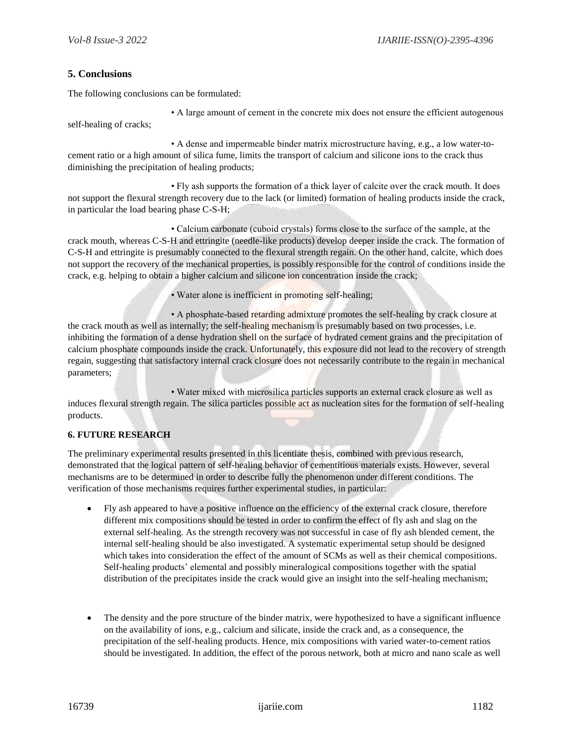### **5. Conclusions**

The following conclusions can be formulated:

• A large amount of cement in the concrete mix does not ensure the efficient autogenous self-healing of cracks;

• A dense and impermeable binder matrix microstructure having, e.g., a low water-tocement ratio or a high amount of silica fume, limits the transport of calcium and silicone ions to the crack thus diminishing the precipitation of healing products;

• Fly ash supports the formation of a thick layer of calcite over the crack mouth. It does not support the flexural strength recovery due to the lack (or limited) formation of healing products inside the crack, in particular the load bearing phase C-S-H;

• Calcium carbonate (cuboid crystals) forms close to the surface of the sample, at the crack mouth, whereas C-S-H and ettringite (needle-like products) develop deeper inside the crack. The formation of C-S-H and ettringite is presumably connected to the flexural strength regain. On the other hand, calcite, which does not support the recovery of the mechanical properties, is possibly responsible for the control of conditions inside the crack, e.g. helping to obtain a higher calcium and silicone ion concentration inside the crack;

• Water alone is inefficient in promoting self-healing;

• A phosphate-based retarding admixture promotes the self-healing by crack closure at the crack mouth as well as internally; the self-healing mechanism is presumably based on two processes, i.e. inhibiting the formation of a dense hydration shell on the surface of hydrated cement grains and the precipitation of calcium phosphate compounds inside the crack. Unfortunately, this exposure did not lead to the recovery of strength regain, suggesting that satisfactory internal crack closure does not necessarily contribute to the regain in mechanical parameters;

• Water mixed with microsilica particles supports an external crack closure as well as induces flexural strength regain. The silica particles possible act as nucleation sites for the formation of self-healing products.

# **6. FUTURE RESEARCH**

The preliminary experimental results presented in this licentiate thesis, combined with previous research, demonstrated that the logical pattern of self-healing behavior of cementitious materials exists. However, several mechanisms are to be determined in order to describe fully the phenomenon under different conditions. The verification of those mechanisms requires further experimental studies, in particular:

- Fly ash appeared to have a positive influence on the efficiency of the external crack closure, therefore different mix compositions should be tested in order to confirm the effect of fly ash and slag on the external self-healing. As the strength recovery was not successful in case of fly ash blended cement, the internal self-healing should be also investigated. A systematic experimental setup should be designed which takes into consideration the effect of the amount of SCMs as well as their chemical compositions. Self-healing products' elemental and possibly mineralogical compositions together with the spatial distribution of the precipitates inside the crack would give an insight into the self-healing mechanism;
- The density and the pore structure of the binder matrix, were hypothesized to have a significant influence on the availability of ions, e.g., calcium and silicate, inside the crack and, as a consequence, the precipitation of the self-healing products. Hence, mix compositions with varied water-to-cement ratios should be investigated. In addition, the effect of the porous network, both at micro and nano scale as well